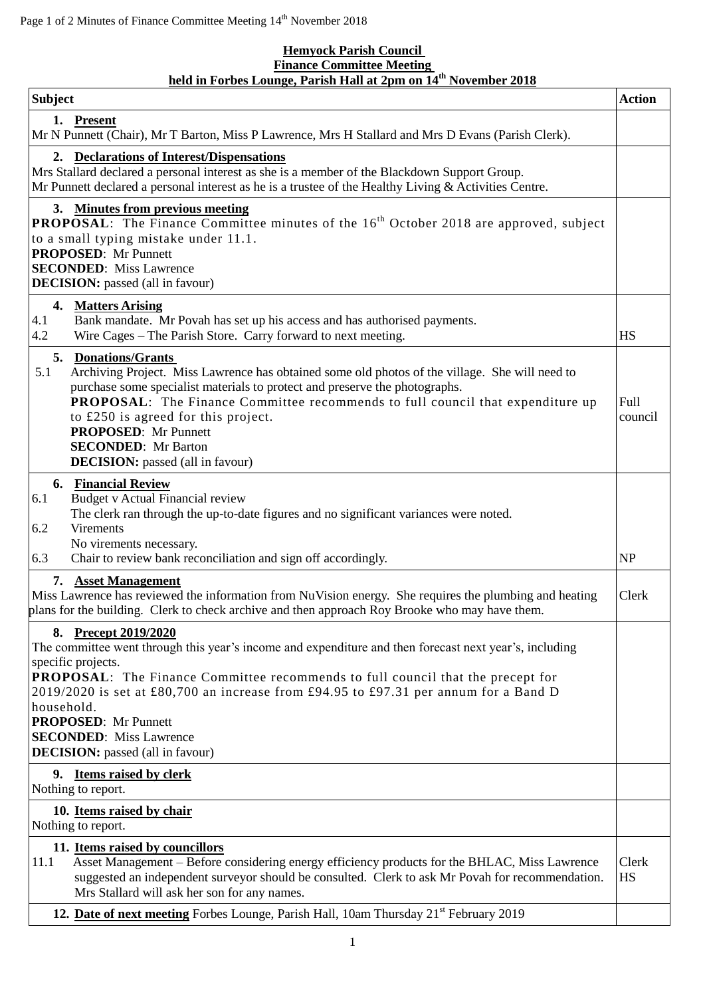## **Hemyock Parish Council Finance Committee Meeting held in Forbes Lounge, Parish Hall at 2pm on 14 th November 2018**

| <b>Subject</b>                                                                                                                                                                                                                                                                                                                                                                                                                                                      | <b>Action</b>      |
|---------------------------------------------------------------------------------------------------------------------------------------------------------------------------------------------------------------------------------------------------------------------------------------------------------------------------------------------------------------------------------------------------------------------------------------------------------------------|--------------------|
| 1. Present<br>Mr N Punnett (Chair), Mr T Barton, Miss P Lawrence, Mrs H Stallard and Mrs D Evans (Parish Clerk).                                                                                                                                                                                                                                                                                                                                                    |                    |
| 2. Declarations of Interest/Dispensations<br>Mrs Stallard declared a personal interest as she is a member of the Blackdown Support Group.<br>Mr Punnett declared a personal interest as he is a trustee of the Healthy Living $&$ Activities Centre.                                                                                                                                                                                                                |                    |
| 3. Minutes from previous meeting<br><b>PROPOSAL:</b> The Finance Committee minutes of the 16 <sup>th</sup> October 2018 are approved, subject<br>to a small typing mistake under 11.1.<br><b>PROPOSED:</b> Mr Punnett<br><b>SECONDED:</b> Miss Lawrence<br><b>DECISION:</b> passed (all in favour)                                                                                                                                                                  |                    |
| 4. Matters Arising<br>4.1<br>Bank mandate. Mr Povah has set up his access and has authorised payments.<br>4.2<br>Wire Cages - The Parish Store. Carry forward to next meeting.                                                                                                                                                                                                                                                                                      | <b>HS</b>          |
| 5. Donations/Grants<br>5.1<br>Archiving Project. Miss Lawrence has obtained some old photos of the village. She will need to<br>purchase some specialist materials to protect and preserve the photographs.<br><b>PROPOSAL:</b> The Finance Committee recommends to full council that expenditure up<br>to £250 is agreed for this project.<br><b>PROPOSED:</b> Mr Punnett<br><b>SECONDED:</b> Mr Barton<br><b>DECISION:</b> passed (all in favour)                 | Full<br>council    |
| <b>6. Financial Review</b><br><b>Budget v Actual Financial review</b><br>6.1<br>The clerk ran through the up-to-date figures and no significant variances were noted.<br><b>Virements</b><br>6.2<br>No virements necessary.<br>Chair to review bank reconciliation and sign off accordingly.<br>6.3                                                                                                                                                                 | NP                 |
| 7. Asset Management<br>Miss Lawrence has reviewed the information from NuVision energy. She requires the plumbing and heating<br>plans for the building. Clerk to check archive and then approach Roy Brooke who may have them.                                                                                                                                                                                                                                     | Clerk              |
| <b>Precept 2019/2020</b><br>8.<br>The committee went through this year's income and expenditure and then forecast next year's, including<br>specific projects.<br>PROPOSAL: The Finance Committee recommends to full council that the precept for<br>2019/2020 is set at £80,700 an increase from £94.95 to £97.31 per annum for a Band D<br>household.<br><b>PROPOSED:</b> Mr Punnett<br><b>SECONDED:</b> Miss Lawrence<br><b>DECISION:</b> passed (all in favour) |                    |
| 9. Items raised by clerk<br>Nothing to report.                                                                                                                                                                                                                                                                                                                                                                                                                      |                    |
| 10. Items raised by chair<br>Nothing to report.                                                                                                                                                                                                                                                                                                                                                                                                                     |                    |
| 11. Items raised by councillors<br>Asset Management - Before considering energy efficiency products for the BHLAC, Miss Lawrence<br>11.1<br>suggested an independent surveyor should be consulted. Clerk to ask Mr Povah for recommendation.<br>Mrs Stallard will ask her son for any names.                                                                                                                                                                        | Clerk<br><b>HS</b> |
| 12. Date of next meeting Forbes Lounge, Parish Hall, 10am Thursday 21 <sup>st</sup> February 2019                                                                                                                                                                                                                                                                                                                                                                   |                    |